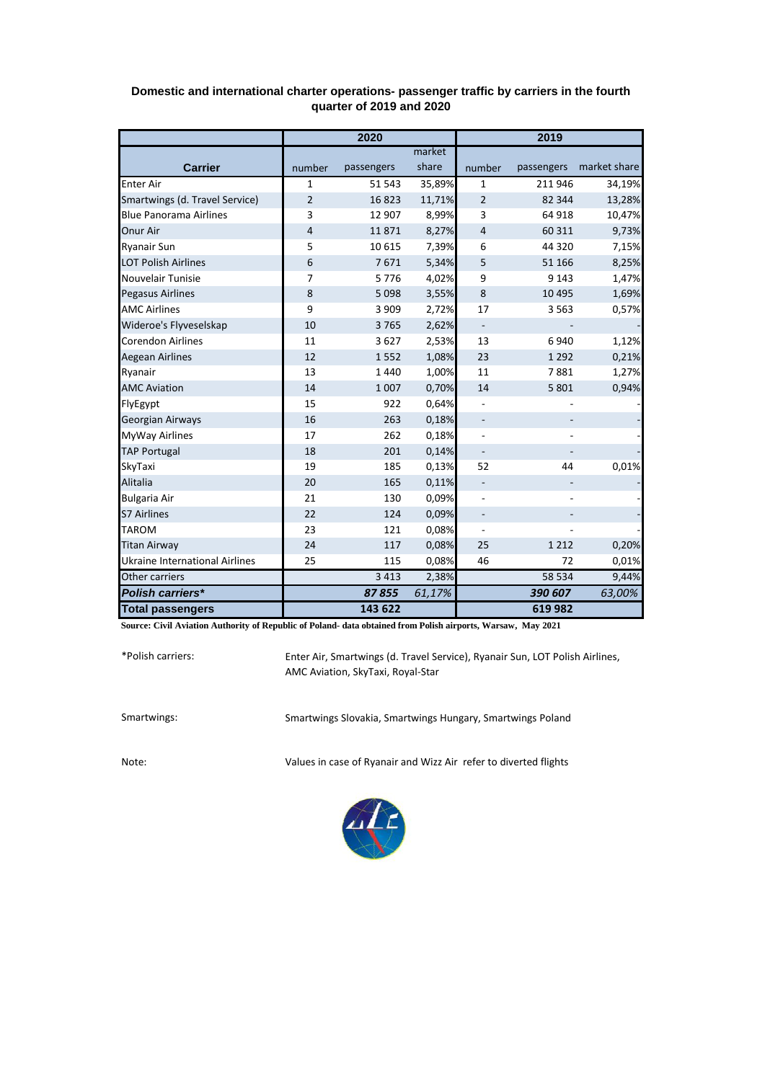|                                       | 2020           |            |        | 2019                     |            |              |  |
|---------------------------------------|----------------|------------|--------|--------------------------|------------|--------------|--|
|                                       |                |            | market |                          |            |              |  |
| <b>Carrier</b>                        | number         | passengers | share  | number                   | passengers | market share |  |
| <b>Enter Air</b>                      | $\mathbf{1}$   | 51 543     | 35,89% | $\mathbf{1}$             | 211 946    | 34,19%       |  |
| Smartwings (d. Travel Service)        | $\overline{2}$ | 16823      | 11,71% | $\overline{2}$           | 82 344     | 13,28%       |  |
| <b>Blue Panorama Airlines</b>         | 3              | 12 907     | 8,99%  | 3                        | 64 918     | 10,47%       |  |
| Onur Air                              | $\overline{4}$ | 11871      | 8,27%  | 4                        | 60 311     | 9,73%        |  |
| <b>Ryanair Sun</b>                    | 5              | 10 6 15    | 7,39%  | 6                        | 44 3 20    | 7,15%        |  |
| <b>LOT Polish Airlines</b>            | 6              | 7671       | 5,34%  | 5                        | 51 166     | 8,25%        |  |
| Nouvelair Tunisie                     | 7              | 5776       | 4,02%  | 9                        | 9 1 4 3    | 1,47%        |  |
| <b>Pegasus Airlines</b>               | 8              | 5 0 9 8    | 3,55%  | 8                        | 10 4 95    | 1,69%        |  |
| <b>AMC Airlines</b>                   | 9              | 3 9 0 9    | 2,72%  | 17                       | 3 5 6 3    | 0,57%        |  |
| Wideroe's Flyveselskap                | 10             | 3765       | 2,62%  | $\overline{\phantom{a}}$ |            |              |  |
| <b>Corendon Airlines</b>              | 11             | 3627       | 2,53%  | 13                       | 6940       | 1,12%        |  |
| <b>Aegean Airlines</b>                | 12             | 1552       | 1,08%  | 23                       | 1 2 9 2    | 0,21%        |  |
| Ryanair                               | 13             | 1440       | 1,00%  | 11                       | 7881       | 1,27%        |  |
| <b>AMC Aviation</b>                   | 14             | 1 0 0 7    | 0,70%  | 14                       | 5 8 0 1    | 0,94%        |  |
| FlyEgypt                              | 15             | 922        | 0,64%  |                          |            |              |  |
| Georgian Airways                      | 16             | 263        | 0,18%  |                          |            |              |  |
| <b>MyWay Airlines</b>                 | 17             | 262        | 0,18%  |                          |            |              |  |
| <b>TAP Portugal</b>                   | 18             | 201        | 0,14%  |                          |            |              |  |
| SkyTaxi                               | 19             | 185        | 0,13%  | 52                       | 44         | 0,01%        |  |
| Alitalia                              | 20             | 165        | 0,11%  |                          |            |              |  |
| <b>Bulgaria Air</b>                   | 21             | 130        | 0,09%  |                          |            |              |  |
| <b>S7 Airlines</b>                    | 22             | 124        | 0,09%  |                          |            |              |  |
| <b>TAROM</b>                          | 23             | 121        | 0,08%  |                          |            |              |  |
| <b>Titan Airway</b>                   | 24             | 117        | 0,08%  | 25                       | 1 2 1 2    | 0,20%        |  |
| <b>Ukraine International Airlines</b> | 25             | 115        | 0,08%  | 46                       | 72         | 0,01%        |  |
| Other carriers                        |                | 3 4 1 3    | 2,38%  |                          | 58 534     | 9,44%        |  |
| Polish carriers*                      |                | 87855      | 61,17% |                          | 390 607    | 63,00%       |  |
| <b>Total passengers</b>               |                | 143 622    |        |                          | 619982     |              |  |

## **Domestic and international charter operations- passenger traffic by carriers in the fourth quarter of 2019 and 2020**

**Source: Civil Aviation Authority of Republic of Poland- data obtained from Polish airports, Warsaw, May 2021**

\*Polish carriers:

Enter Air, Smartwings (d. Travel Service), Ryanair Sun, LOT Polish Airlines, AMC Aviation, SkyTaxi, Royal-Star

Smartwings: Smartwings Slovakia, Smartwings Hungary, Smartwings Poland

Note: Values in case of Ryanair and Wizz Air refer to diverted flights